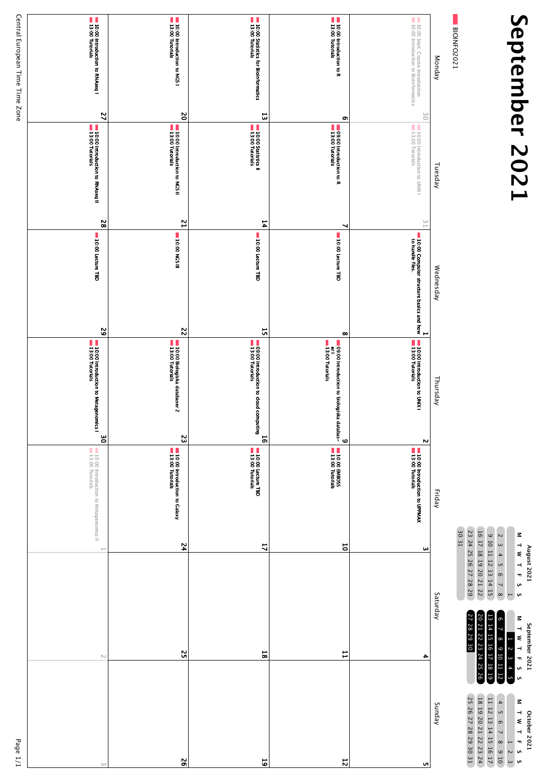## September 2021 **September 2021**



 $\mathcal G$ 

 $\sim$ 

17

24

 $\frac{c}{1}$ 

| BIOINFO2021<br>Monday<br>$\frac{6}{1}$                                        | Tuesday                                                          | $\stackrel{\textstyle\cup\hspace{1.5pt}}{\scriptstyle\cup}$<br>Wednesday | Н<br>Thursday<br>N                                                                               | Friday<br><b>JE UE</b>                                   | ω<br>Saturday  |
|-------------------------------------------------------------------------------|------------------------------------------------------------------|--------------------------------------------------------------------------|--------------------------------------------------------------------------------------------------|----------------------------------------------------------|----------------|
| 10:00 Start: Course introduction<br>10:00 Introduction to Bioinformatics      | 10:00 Introduction to UNIX I<br>13:00 Tutorials                  | 10:00 Computer structure basics and how<br>to handle files.              | 10:00 Introduction to UNIX I<br>13:00 Tutorials                                                  | 13:00 Introduction to UPPMAX<br>13:00 Tutorials          |                |
| 10:00 Introduction to R<br>13:00 Tutorials                                    | o,<br><b>09:00 Introduction to R</b><br><b>13:00 Tutorials</b>   | ∼<br>10:00 Lecture TBD                                                   | $\infty$<br>er  <br>  13:00 Tutorials<br>109:00 Introduction to biologiska databas-<br>$\bullet$ | 10:00 EMBOSS<br>13:00 Tutorials                          | $\overline{5}$ |
| 10:00 Statistics for Bioinformatics<br>13:00 Tutorials<br>$\overline{\omega}$ | 10:00 Statistics II<br>13:00 Tutorials                           | 14<br>10:00 Lecture TBD<br>뉴                                             | 09:00 Introduction to cloud computing<br>13:00 Tutorials<br>$\overline{5}$                       | 13:00 Lecture TBD<br>13:00 Tutorials                     | 4              |
| 10:00 Introduction to NGS I<br>13:00 Tutorials<br>$\mathbf{S}$                | 13:00 Introduction to NGS II<br>13:00 Tutorials                  | $\overline{a}$<br><b>SON 00:01</b><br>$\overline{\mathbf{c}}$            | 10:00 Biologiska databaser 2<br>13:00 Tutorials<br>S.                                            | 13:00 Introduction to Galaxy<br>13:00 Tutorials          | $\overline{r}$ |
| 13:00 Introduction to RNAseq I<br>13:00 Tutorials<br>$\overline{2}$           | <b>10:00 Introduction to RNAseq II</b><br><b>13:00 Tutorials</b> | S2<br>10:00 Lecture TBD<br>$\overline{6}$                                | 10:00 Introduction to Metagenomics I<br>13:00 Tutorials<br>უ<br>თ                                | 10:00 Introduction to Metagenomics II<br>13:00 Tutorials | H              |
| Central European Time Time Zone                                               |                                                                  |                                                                          |                                                                                                  |                                                          |                |